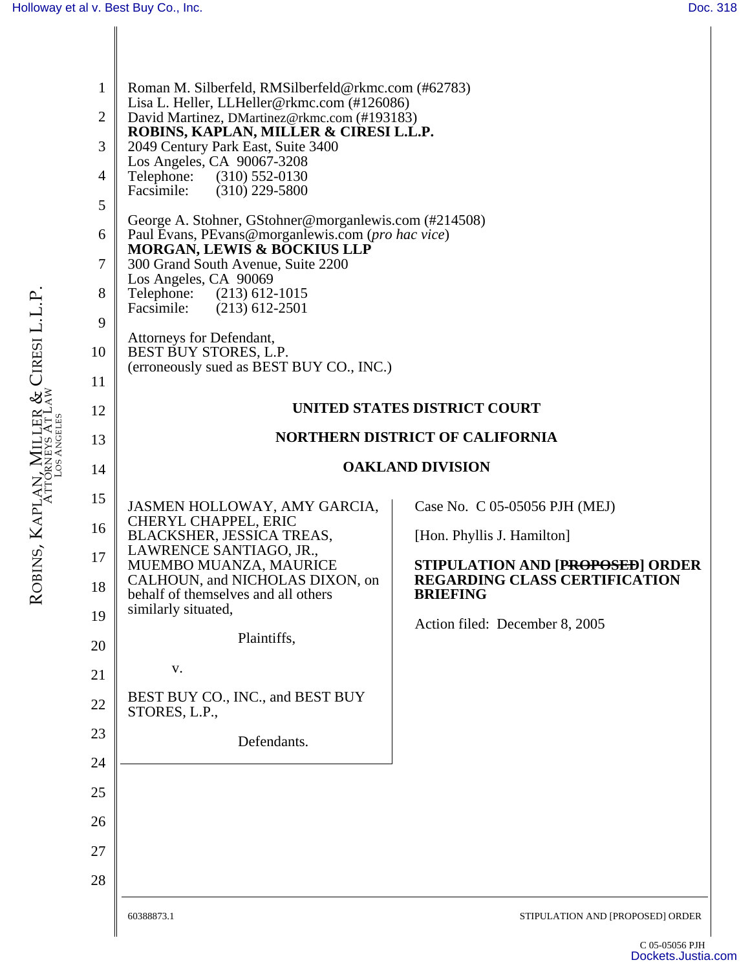| <b>NORTHERN DISTRICT OF CALIFORNIA</b><br>13<br><b>OAKLAND DIVISION</b><br>14<br>15<br>JASMEN HOLLOWAY, AMY GARCIA,<br>Case No. C 05-05056 PJH (MEJ)<br>CHERYL CHAPPEL, ERIC<br>16<br>BLACKSHER, JESSICA TREAS,<br>[Hon. Phyllis J. Hamilton]<br>LAWRENCE SANTIAGO, JR.,<br>17<br>MUEMBO MUANZA, MAURICE<br>STIPULATION AND [PROPOSED] ORDER<br><b>REGARDING CLASS CERTIFICATION</b><br>CALHOUN, and NICHOLAS DIXON, on<br>18<br>behalf of themselves and all others<br><b>BRIEFING</b><br>similarly situated,<br>19<br>Action filed: December 8, 2005<br>Plaintiffs,<br>20<br>V.<br>21<br>BEST BUY CO., INC., and BEST BUY<br>22<br>STORES, L.P.,<br>23<br>Defendants.<br>24<br>25<br>26<br>27<br>28<br>60388873.1<br>STIPULATION AND [PROPOSED] ORDER | $\mathbf{1}$<br>$\overline{2}$<br>3<br>$\overline{4}$<br>5<br>6<br>7<br>8<br>9<br>10<br>11<br>12 | Roman M. Silberfeld, RMSilberfeld@rkmc.com (#62783)<br>Lisa L. Heller, LLHeller@rkmc.com (#126086)<br>David Martinez, DMartinez@rkmc.com (#193183)<br>ROBINS, KAPLAN, MILLER & CIRESI L.L.P.<br>2049 Century Park East, Suite 3400<br>Los Angeles, CA 90067-3208<br>Telephone: (310) 552-0130<br>Facsimile:<br>$(310)$ 229-5800<br>George A. Stohner, GStohner@morganlewis.com (#214508)<br>Paul Evans, PEvans@morganlewis.com (pro hac vice)<br><b>MORGAN, LEWIS &amp; BOCKIUS LLP</b><br>300 Grand South Avenue, Suite 2200<br>Los Angeles, CA 90069<br>Telephone: (213) 612-1015<br>Facsimile:<br>$(213)$ 612-2501<br>Attorneys for Defendant,<br>BEST BUY STORES, L.P.<br>(erroneously sued as BEST BUY CO., INC.) | UNITED STATES DISTRICT COURT |
|---------------------------------------------------------------------------------------------------------------------------------------------------------------------------------------------------------------------------------------------------------------------------------------------------------------------------------------------------------------------------------------------------------------------------------------------------------------------------------------------------------------------------------------------------------------------------------------------------------------------------------------------------------------------------------------------------------------------------------------------------------|--------------------------------------------------------------------------------------------------|------------------------------------------------------------------------------------------------------------------------------------------------------------------------------------------------------------------------------------------------------------------------------------------------------------------------------------------------------------------------------------------------------------------------------------------------------------------------------------------------------------------------------------------------------------------------------------------------------------------------------------------------------------------------------------------------------------------------|------------------------------|
|                                                                                                                                                                                                                                                                                                                                                                                                                                                                                                                                                                                                                                                                                                                                                         |                                                                                                  |                                                                                                                                                                                                                                                                                                                                                                                                                                                                                                                                                                                                                                                                                                                        |                              |
|                                                                                                                                                                                                                                                                                                                                                                                                                                                                                                                                                                                                                                                                                                                                                         |                                                                                                  |                                                                                                                                                                                                                                                                                                                                                                                                                                                                                                                                                                                                                                                                                                                        |                              |
|                                                                                                                                                                                                                                                                                                                                                                                                                                                                                                                                                                                                                                                                                                                                                         |                                                                                                  |                                                                                                                                                                                                                                                                                                                                                                                                                                                                                                                                                                                                                                                                                                                        |                              |
|                                                                                                                                                                                                                                                                                                                                                                                                                                                                                                                                                                                                                                                                                                                                                         |                                                                                                  |                                                                                                                                                                                                                                                                                                                                                                                                                                                                                                                                                                                                                                                                                                                        |                              |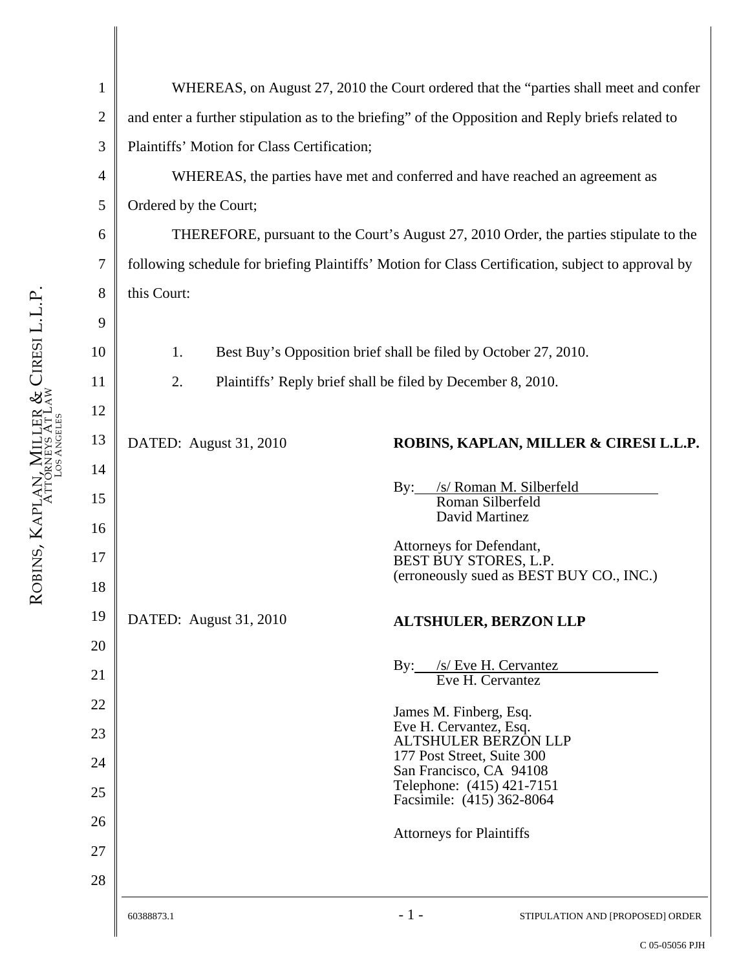| $\mathbf{1}$   |                                                                                                    | WHEREAS, on August 27, 2010 the Court ordered that the "parties shall meet and confer |  |  |
|----------------|----------------------------------------------------------------------------------------------------|---------------------------------------------------------------------------------------|--|--|
| $\overline{2}$ | and enter a further stipulation as to the briefing" of the Opposition and Reply briefs related to  |                                                                                       |  |  |
| 3              | Plaintiffs' Motion for Class Certification;                                                        |                                                                                       |  |  |
| $\overline{4}$ |                                                                                                    | WHEREAS, the parties have met and conferred and have reached an agreement as          |  |  |
| 5              | Ordered by the Court;                                                                              |                                                                                       |  |  |
| 6              | THEREFORE, pursuant to the Court's August 27, 2010 Order, the parties stipulate to the             |                                                                                       |  |  |
| 7              | following schedule for briefing Plaintiffs' Motion for Class Certification, subject to approval by |                                                                                       |  |  |
| 8              | this Court:                                                                                        |                                                                                       |  |  |
| 9              |                                                                                                    |                                                                                       |  |  |
| 10             | Best Buy's Opposition brief shall be filed by October 27, 2010.<br>1.                              |                                                                                       |  |  |
| 11             | 2.<br>Plaintiffs' Reply brief shall be filed by December 8, 2010.                                  |                                                                                       |  |  |
| 12             |                                                                                                    |                                                                                       |  |  |
| 13             | DATED: August 31, 2010                                                                             | ROBINS, KAPLAN, MILLER & CIRESI L.L.P.                                                |  |  |
| 14             |                                                                                                    |                                                                                       |  |  |
| 15             | $\rm\,By:$                                                                                         | /s/ Roman M. Silberfeld<br>Roman Silberfeld                                           |  |  |
| 16             |                                                                                                    | David Martinez                                                                        |  |  |
| 17             |                                                                                                    | Attorneys for Defendant,<br>BEST BUY STORES, L.P.                                     |  |  |
| 18             |                                                                                                    | (erroneously sued as BEST BUY CO., INC.)                                              |  |  |
| 19             | DATED: August 31, 2010                                                                             | <b>ALTSHULER, BERZON LLP</b>                                                          |  |  |
| 20             |                                                                                                    |                                                                                       |  |  |
| 21             | $\mathbf{By:}$                                                                                     | $/s$ Eve H. Cervantez Eve H. Cervantez                                                |  |  |
| 22             |                                                                                                    | James M. Finberg, Esq.                                                                |  |  |
| 23             |                                                                                                    | Eve H. Cervantez, Esq.<br><b>ALTSHULER BERZON LLP</b>                                 |  |  |
| 24             |                                                                                                    | 177 Post Street, Suite 300<br>San Francisco, CA 94108                                 |  |  |
| 25             |                                                                                                    | Telephone: (415) 421-7151<br>Facsimile: (415) 362-8064                                |  |  |
| 26             |                                                                                                    | <b>Attorneys for Plaintiffs</b>                                                       |  |  |
| 27             |                                                                                                    |                                                                                       |  |  |
| 28             |                                                                                                    |                                                                                       |  |  |
|                | $-1-$<br>60388873.1                                                                                | STIPULATION AND [PROPOSED] ORDER                                                      |  |  |